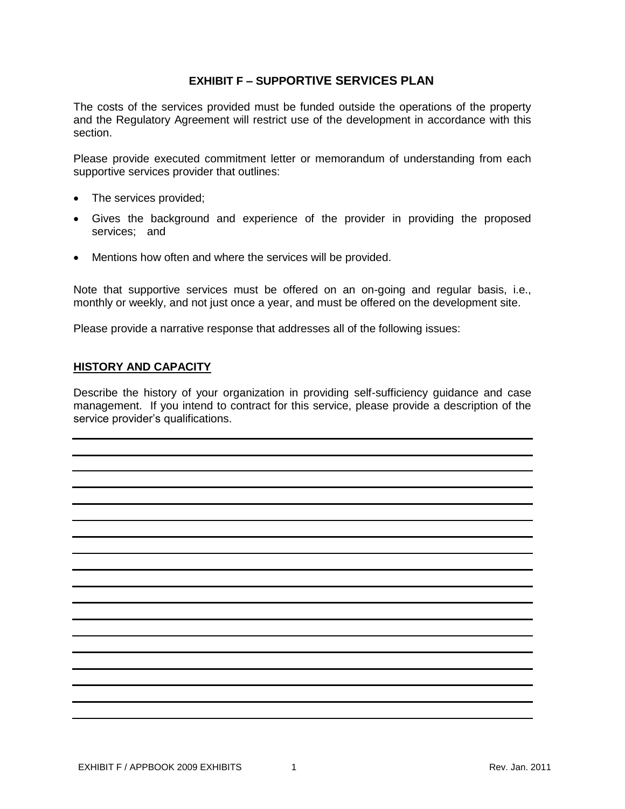## **EXHIBIT F – SUPPORTIVE SERVICES PLAN**

The costs of the services provided must be funded outside the operations of the property and the Regulatory Agreement will restrict use of the development in accordance with this section.

Please provide executed commitment letter or memorandum of understanding from each supportive services provider that outlines:

- The services provided;
- Gives the background and experience of the provider in providing the proposed services; and
- Mentions how often and where the services will be provided.

Note that supportive services must be offered on an on-going and regular basis, i.e., monthly or weekly, and not just once a year, and must be offered on the development site.

Please provide a narrative response that addresses all of the following issues:

## **HISTORY AND CAPACITY**

Describe the history of your organization in providing self-sufficiency guidance and case management.If you intend to contract for this service, please provide a description of the service provider's qualifications.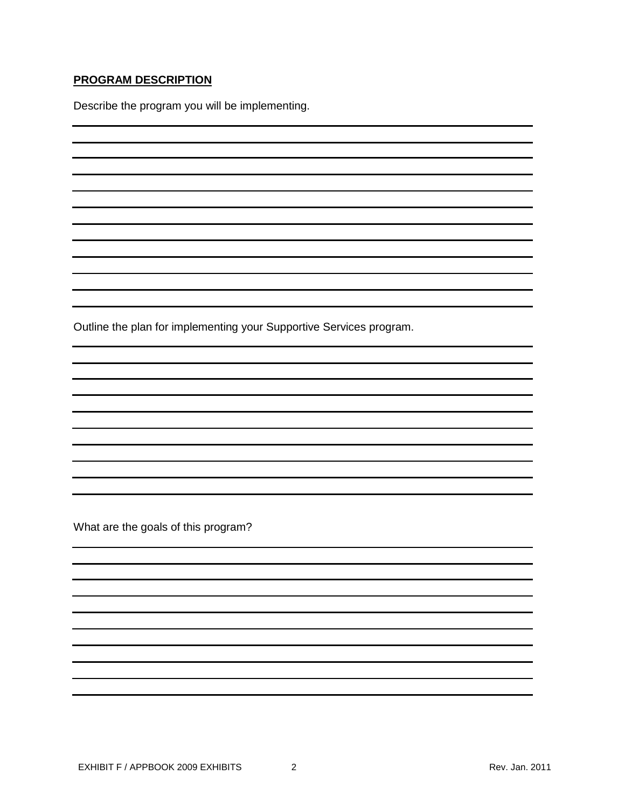## **PROGRAM DESCRIPTION**

Describe the program you will be implementing.

Outline the plan for implementing your Supportive Services program.

What are the goals of this program?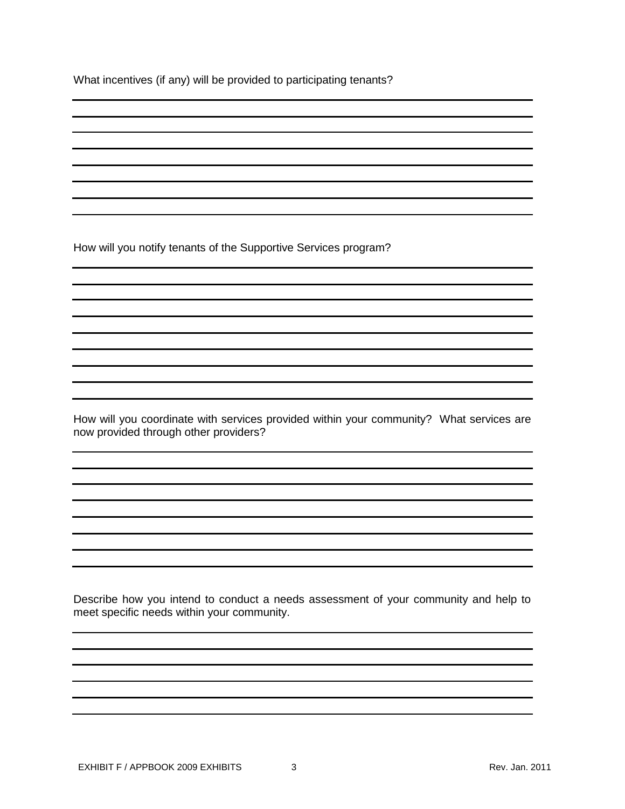What incentives (if any) will be provided to participating tenants?

How will you notify tenants of the Supportive Services program?

How will you coordinate with services provided within your community? What services are now provided through other providers?

Describe how you intend to conduct a needs assessment of your community and help to meet specific needs within your community.